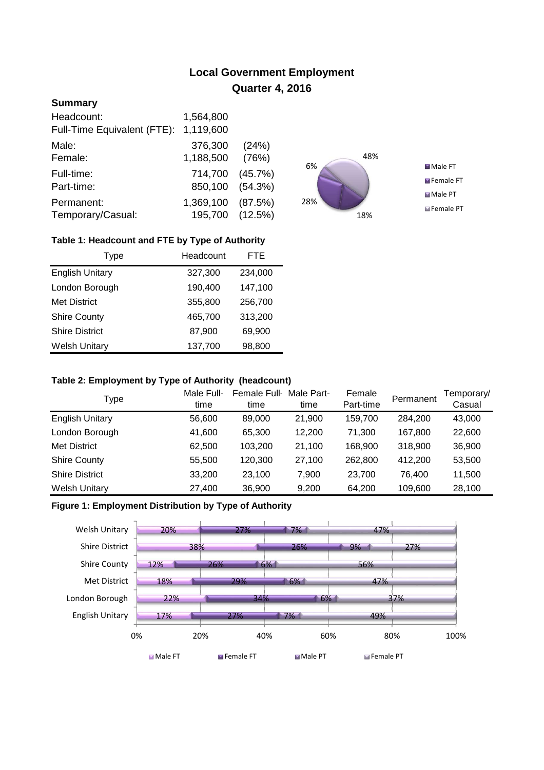# **Local Government Employment Quarter 4, 2016**

## **Summary**

| Headcount:                  | 1,564,800       |         |
|-----------------------------|-----------------|---------|
| Full-Time Equivalent (FTE): | 1,119,600       |         |
| Male:                       | 376,300         | (24%)   |
| Female:                     | 1,188,500       | (76%)   |
| Full-time:                  | 714,700         | (45.7%) |
| Part-time:                  | 850,100         | (54.3%) |
| Permanent:                  | 1,369,100       | (87.5%) |
| Temporary/Casual:           | 195,700 (12.5%) |         |



## **Table 1: Headcount and FTE by Type of Authority**

| Type                   | Headcount |         |
|------------------------|-----------|---------|
| <b>English Unitary</b> | 327,300   | 234,000 |
| London Borough         | 190,400   | 147,100 |
| <b>Met District</b>    | 355,800   | 256,700 |
| <b>Shire County</b>    | 465,700   | 313,200 |
| <b>Shire District</b>  | 87,900    | 69,900  |
| <b>Welsh Unitary</b>   | 137,700   | 98,800  |

#### **Table 2: Employment by Type of Authority (headcount)**

| Type                   | Male Full-<br>time | Female Full-<br>time | Male Part-<br>time | Female<br>Part-time | Permanent | Temporary/<br>Casual |
|------------------------|--------------------|----------------------|--------------------|---------------------|-----------|----------------------|
| <b>English Unitary</b> | 56,600             | 89,000               | 21,900             | 159,700             | 284,200   | 43,000               |
| London Borough         | 41,600             | 65.300               | 12.200             | 71.300              | 167,800   | 22,600               |
| Met District           | 62,500             | 103,200              | 21,100             | 168,900             | 318,900   | 36,900               |
| <b>Shire County</b>    | 55,500             | 120,300              | 27,100             | 262,800             | 412.200   | 53,500               |
| <b>Shire District</b>  | 33,200             | 23.100               | 7.900              | 23.700              | 76.400    | 11,500               |
| <b>Welsh Unitary</b>   | 27,400             | 36,900               | 9,200              | 64,200              | 109,600   | 28,100               |

## **Figure 1: Employment Distribution by Type of Authority**